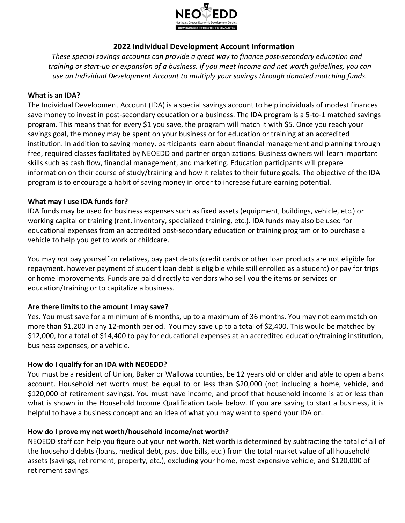

# **2022 Individual Development Account Information**

*These special savings accounts can provide a great way to finance post-secondary education and training or start-up or expansion of a business. If you meet income and net worth guidelines, you can use an Individual Development Account to multiply your savings through donated matching funds.*

#### **What is an IDA?**

The Individual Development Account (IDA) is a special savings account to help individuals of modest finances save money to invest in post-secondary education or a business. The IDA program is a 5-to-1 matched savings program. This means that for every \$1 you save, the program will match it with \$5. Once you reach your savings goal, the money may be spent on your business or for education or training at an accredited institution. In addition to saving money, participants learn about financial management and planning through free, required classes facilitated by NEOEDD and partner organizations. Business owners will learn important skills such as cash flow, financial management, and marketing. Education participants will prepare information on their course of study/training and how it relates to their future goals. The objective of the IDA program is to encourage a habit of saving money in order to increase future earning potential.

#### **What may I use IDA funds for?**

IDA funds may be used for business expenses such as fixed assets (equipment, buildings, vehicle, etc.) or working capital or training (rent, inventory, specialized training, etc.). IDA funds may also be used for educational expenses from an accredited post-secondary education or training program or to purchase a vehicle to help you get to work or childcare.

You may *not* pay yourself or relatives, pay past debts (credit cards or other loan products are not eligible for repayment, however payment of student loan debt is eligible while still enrolled as a student) or pay for trips or home improvements. Funds are paid directly to vendors who sell you the items or services or education/training or to capitalize a business.

## **Are there limits to the amount I may save?**

Yes. You must save for a minimum of 6 months, up to a maximum of 36 months. You may not earn match on more than \$1,200 in any 12-month period. You may save up to a total of \$2,400. This would be matched by \$12,000, for a total of \$14,400 to pay for educational expenses at an accredited education/training institution, business expenses, or a vehicle.

## **How do I qualify for an IDA with NEOEDD?**

You must be a resident of Union, Baker or Wallowa counties, be 12 years old or older and able to open a bank account. Household net worth must be equal to or less than \$20,000 (not including a home, vehicle, and \$120,000 of retirement savings). You must have income, and proof that household income is at or less than what is shown in the Household Income Qualification table below. If you are saving to start a business, it is helpful to have a business concept and an idea of what you may want to spend your IDA on.

## **How do I prove my net worth/household income/net worth?**

NEOEDD staff can help you figure out your net worth. Net worth is determined by subtracting the total of all of the household debts (loans, medical debt, past due bills, etc.) from the total market value of all household assets (savings, retirement, property, etc.), excluding your home, most expensive vehicle, and \$120,000 of retirement savings.